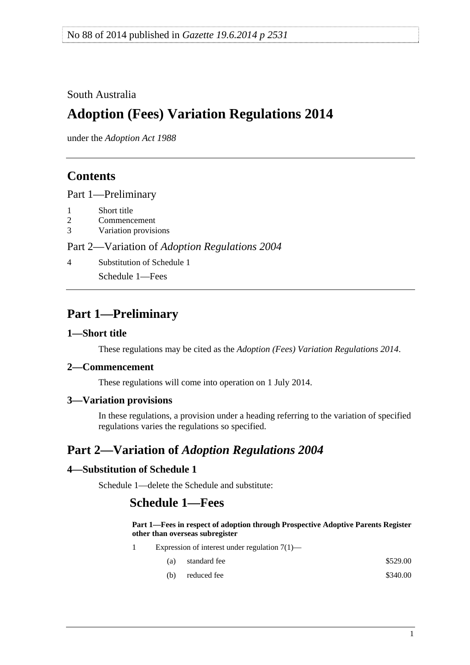### <span id="page-0-0"></span>South Australia

# **Adoption (Fees) Variation Regulations 2014**

under the *Adoption Act 1988*

### **Contents**

[Part 1—Preliminary](#page-0-0)

- [1 Short title](#page-0-0)
- [2 Commencement](#page-0-0)
- [3 Variation provisions](#page-0-0)

#### Part 2—Variation of *[Adoption Regulations 2004](#page-0-0)*

[4 Substitution of Schedule 1](#page-0-0)

[Schedule 1—Fees](#page-0-0) 

## **Part 1—Preliminary**

#### **1—Short title**

These regulations may be cited as the *Adoption (Fees) Variation Regulations 2014*.

#### **2—Commencement**

These regulations will come into operation on 1 July 2014.

#### **3—Variation provisions**

In these regulations, a provision under a heading referring to the variation of specified regulations varies the regulations so specified.

## **Part 2—Variation of** *Adoption Regulations 2004*

#### **4—Substitution of Schedule 1**

Schedule 1—delete the Schedule and substitute:

### **Schedule 1—Fees**

#### **Part 1—Fees in respect of adoption through Prospective Adoptive Parents Register other than overseas subregister**

- 1 Expression of interest under regulation 7(1)—
	- (a) standard fee  $$529.00$
	- (b) reduced fee  $$340.00$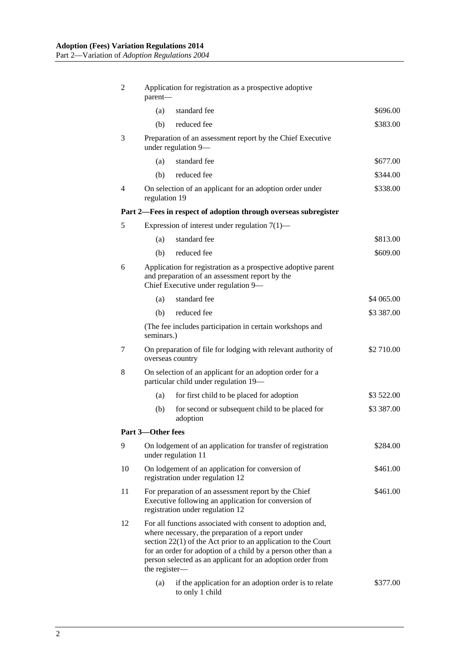| 2  | Application for registration as a prospective adoptive<br>parent-                                                                                                                                                                                                                                                                   |                                                                                                 |            |  |  |
|----|-------------------------------------------------------------------------------------------------------------------------------------------------------------------------------------------------------------------------------------------------------------------------------------------------------------------------------------|-------------------------------------------------------------------------------------------------|------------|--|--|
|    | (a)                                                                                                                                                                                                                                                                                                                                 | standard fee                                                                                    | \$696.00   |  |  |
|    | (b)                                                                                                                                                                                                                                                                                                                                 | reduced fee                                                                                     | \$383.00   |  |  |
| 3  | Preparation of an assessment report by the Chief Executive<br>under regulation 9-                                                                                                                                                                                                                                                   |                                                                                                 |            |  |  |
|    | (a)                                                                                                                                                                                                                                                                                                                                 | standard fee                                                                                    | \$677.00   |  |  |
|    | (b)                                                                                                                                                                                                                                                                                                                                 | reduced fee                                                                                     | \$344.00   |  |  |
| 4  | On selection of an applicant for an adoption order under<br>\$338.00<br>regulation 19                                                                                                                                                                                                                                               |                                                                                                 |            |  |  |
|    |                                                                                                                                                                                                                                                                                                                                     | Part 2—Fees in respect of adoption through overseas subregister                                 |            |  |  |
| 5  |                                                                                                                                                                                                                                                                                                                                     | Expression of interest under regulation $7(1)$ —                                                |            |  |  |
|    | (a)                                                                                                                                                                                                                                                                                                                                 | standard fee                                                                                    | \$813.00   |  |  |
|    | (b)                                                                                                                                                                                                                                                                                                                                 | reduced fee                                                                                     | \$609.00   |  |  |
| 6  | Application for registration as a prospective adoptive parent<br>and preparation of an assessment report by the<br>Chief Executive under regulation 9-                                                                                                                                                                              |                                                                                                 |            |  |  |
|    | (a)                                                                                                                                                                                                                                                                                                                                 | standard fee                                                                                    | \$4 065.00 |  |  |
|    | (b)                                                                                                                                                                                                                                                                                                                                 | reduced fee                                                                                     | \$3 387.00 |  |  |
|    | (The fee includes participation in certain workshops and<br>seminars.)                                                                                                                                                                                                                                                              |                                                                                                 |            |  |  |
| 7  |                                                                                                                                                                                                                                                                                                                                     | On preparation of file for lodging with relevant authority of<br>\$2 710.00<br>overseas country |            |  |  |
| 8  | On selection of an applicant for an adoption order for a<br>particular child under regulation 19-                                                                                                                                                                                                                                   |                                                                                                 |            |  |  |
|    | (a)                                                                                                                                                                                                                                                                                                                                 | for first child to be placed for adoption                                                       | \$3 522.00 |  |  |
|    | (b)                                                                                                                                                                                                                                                                                                                                 | for second or subsequent child to be placed for<br>adoption                                     | \$3 387.00 |  |  |
|    | Part 3-Other fees                                                                                                                                                                                                                                                                                                                   |                                                                                                 |            |  |  |
| 9  |                                                                                                                                                                                                                                                                                                                                     | On lodgement of an application for transfer of registration<br>under regulation 11              | \$284.00   |  |  |
| 10 | On lodgement of an application for conversion of<br>registration under regulation 12                                                                                                                                                                                                                                                |                                                                                                 | \$461.00   |  |  |
| 11 | For preparation of an assessment report by the Chief<br>\$461.00<br>Executive following an application for conversion of<br>registration under regulation 12                                                                                                                                                                        |                                                                                                 |            |  |  |
| 12 | For all functions associated with consent to adoption and,<br>where necessary, the preparation of a report under<br>section $22(1)$ of the Act prior to an application to the Court<br>for an order for adoption of a child by a person other than a<br>person selected as an applicant for an adoption order from<br>the register- |                                                                                                 |            |  |  |
|    | (a)                                                                                                                                                                                                                                                                                                                                 | if the application for an adoption order is to relate<br>to only 1 child                        | \$377.00   |  |  |